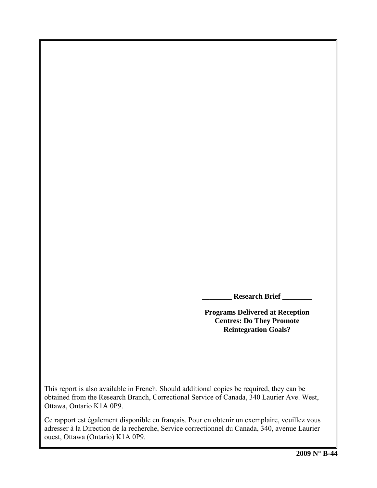**\_\_\_\_\_\_\_\_ Research Brief \_\_\_\_\_\_\_\_** 

**Programs Delivered at Reception Centres: Do They Promote Reintegration Goals?** 

This report is also available in French. Should additional copies be required, they can be obtained from the Research Branch, Correctional Service of Canada, 340 Laurier Ave. West, Ottawa, Ontario K1A 0P9.

Ce rapport est également disponible en français. Pour en obtenir un exemplaire, veuillez vous adresser à la Direction de la recherche, Service correctionnel du Canada, 340, avenue Laurier ouest, Ottawa (Ontario) K1A 0P9.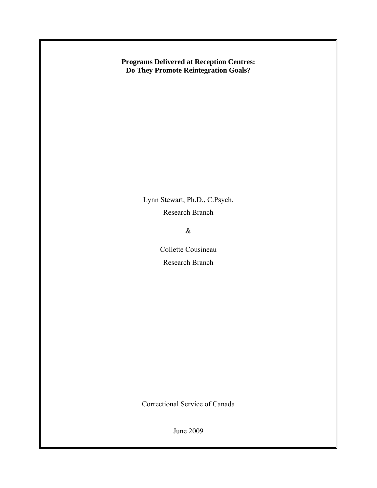**Programs Delivered at Reception Centres: Do They Promote Reintegration Goals?** 

> Lynn Stewart, Ph.D., C.Psych. Research Branch

> > &

Collette Cousineau Research Branch

Correctional Service of Canada

June 2009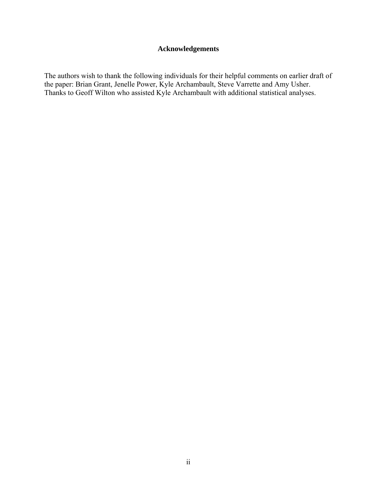### **Acknowledgements**

<span id="page-4-0"></span>The authors wish to thank the following individuals for their helpful comments on earlier draft of the paper: Brian Grant, Jenelle Power, Kyle Archambault, Steve Varrette and Amy Usher. Thanks to Geoff Wilton who assisted Kyle Archambault with additional statistical analyses.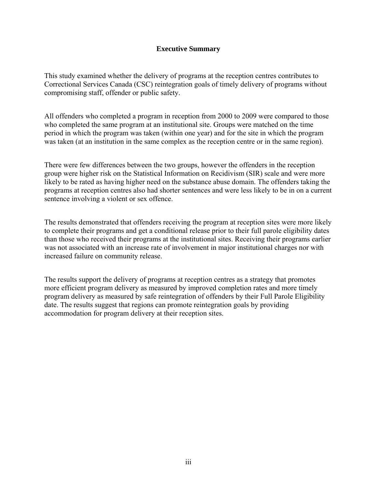### **Executive Summary**

<span id="page-6-0"></span>This study examined whether the delivery of programs at the reception centres contributes to Correctional Services Canada (CSC) reintegration goals of timely delivery of programs without compromising staff, offender or public safety.

All offenders who completed a program in reception from 2000 to 2009 were compared to those who completed the same program at an institutional site. Groups were matched on the time period in which the program was taken (within one year) and for the site in which the program was taken (at an institution in the same complex as the reception centre or in the same region).

There were few differences between the two groups, however the offenders in the reception group were higher risk on the Statistical Information on Recidivism (SIR) scale and were more likely to be rated as having higher need on the substance abuse domain. The offenders taking the programs at reception centres also had shorter sentences and were less likely to be in on a current sentence involving a violent or sex offence.

The results demonstrated that offenders receiving the program at reception sites were more likely to complete their programs and get a conditional release prior to their full parole eligibility dates than those who received their programs at the institutional sites. Receiving their programs earlier was not associated with an increase rate of involvement in major institutional charges nor with increased failure on community release.

The results support the delivery of programs at reception centres as a strategy that promotes more efficient program delivery as measured by improved completion rates and more timely program delivery as measured by safe reintegration of offenders by their Full Parole Eligibility date. The results suggest that regions can promote reintegration goals by providing accommodation for program delivery at their reception sites.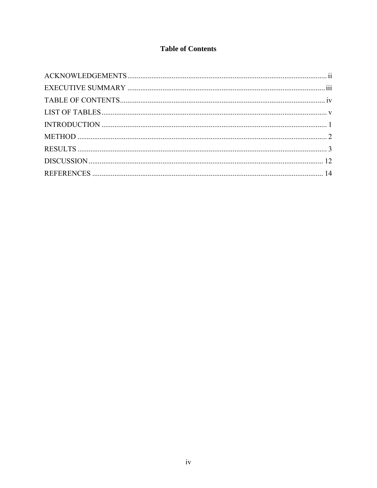# **Table of Contents**

<span id="page-8-0"></span>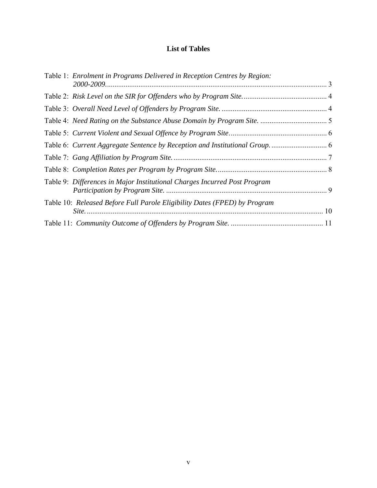### **List of Tables**

<span id="page-10-0"></span>

| Table 1: Enrolment in Programs Delivered in Reception Centres by Region:  |  |
|---------------------------------------------------------------------------|--|
|                                                                           |  |
|                                                                           |  |
|                                                                           |  |
|                                                                           |  |
|                                                                           |  |
|                                                                           |  |
|                                                                           |  |
|                                                                           |  |
| Table 9: Differences in Major Institutional Charges Incurred Post Program |  |
| Table 10: Released Before Full Parole Eligibility Dates (FPED) by Program |  |
|                                                                           |  |
|                                                                           |  |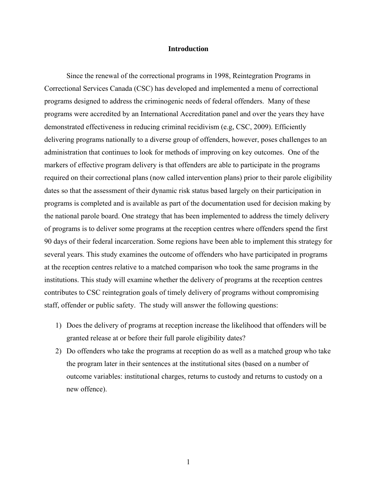#### **Introduction**

<span id="page-12-0"></span>Since the renewal of the correctional programs in 1998, Reintegration Programs in Correctional Services Canada (CSC) has developed and implemented a menu of correctional programs designed to address the criminogenic needs of federal offenders. Many of these programs were accredited by an International Accreditation panel and over the years they have demonstrated effectiveness in reducing criminal recidivism (e.g, CSC, 2009). Efficiently delivering programs nationally to a diverse group of offenders, however, poses challenges to an administration that continues to look for methods of improving on key outcomes. One of the markers of effective program delivery is that offenders are able to participate in the programs required on their correctional plans (now called intervention plans) prior to their parole eligibility dates so that the assessment of their dynamic risk status based largely on their participation in programs is completed and is available as part of the documentation used for decision making by the national parole board. One strategy that has been implemented to address the timely delivery of programs is to deliver some programs at the reception centres where offenders spend the first 90 days of their federal incarceration. Some regions have been able to implement this strategy for several years. This study examines the outcome of offenders who have participated in programs at the reception centres relative to a matched comparison who took the same programs in the institutions. This study will examine whether the delivery of programs at the reception centres contributes to CSC reintegration goals of timely delivery of programs without compromising staff, offender or public safety. The study will answer the following questions:

- 1) Does the delivery of programs at reception increase the likelihood that offenders will be granted release at or before their full parole eligibility dates?
- 2) Do offenders who take the programs at reception do as well as a matched group who take the program later in their sentences at the institutional sites (based on a number of outcome variables: institutional charges, returns to custody and returns to custody on a new offence).

1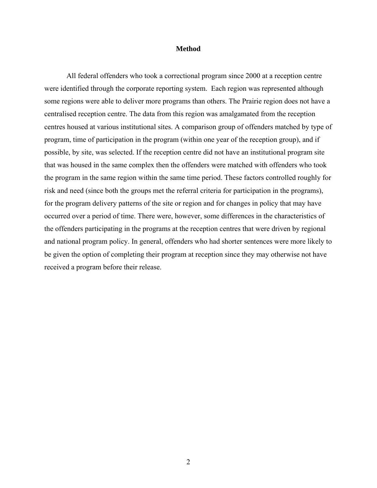#### **Method**

<span id="page-13-0"></span>All federal offenders who took a correctional program since 2000 at a reception centre were identified through the corporate reporting system. Each region was represented although some regions were able to deliver more programs than others. The Prairie region does not have a centralised reception centre. The data from this region was amalgamated from the reception centres housed at various institutional sites. A comparison group of offenders matched by type of program, time of participation in the program (within one year of the reception group), and if possible, by site, was selected. If the reception centre did not have an institutional program site that was housed in the same complex then the offenders were matched with offenders who took the program in the same region within the same time period. These factors controlled roughly for risk and need (since both the groups met the referral criteria for participation in the programs), for the program delivery patterns of the site or region and for changes in policy that may have occurred over a period of time. There were, however, some differences in the characteristics of the offenders participating in the programs at the reception centres that were driven by regional and national program policy. In general, offenders who had shorter sentences were more likely to be given the option of completing their program at reception since they may otherwise not have received a program before their release.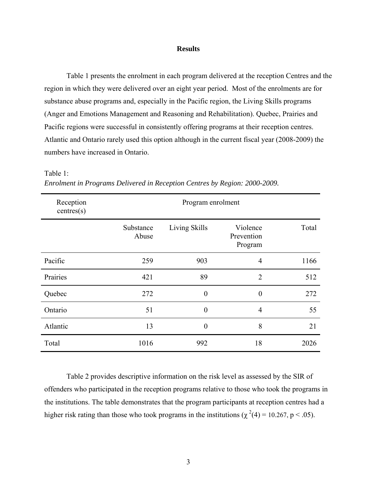#### **Results**

<span id="page-14-0"></span>[Table 1](#page-14-1) presents the enrolment in each program delivered at the reception Centres and the region in which they were delivered over an eight year period. Most of the enrolments are for substance abuse programs and, especially in the Pacific region, the Living Skills programs (Anger and Emotions Management and Reasoning and Rehabilitation). Quebec, Prairies and Pacific regions were successful in consistently offering programs at their reception centres. Atlantic and Ontario rarely used this option although in the current fiscal year (2008-2009) the numbers have increased in Ontario.

| Reception<br>centres(s) | Program enrolment  |                  |                                   |       |  |  |  |
|-------------------------|--------------------|------------------|-----------------------------------|-------|--|--|--|
|                         | Substance<br>Abuse | Living Skills    | Violence<br>Prevention<br>Program | Total |  |  |  |
| Pacific                 | 259                | 903              | $\overline{4}$                    | 1166  |  |  |  |
| Prairies                | 421                | 89               | $\overline{2}$                    | 512   |  |  |  |
| Quebec                  | 272                | $\boldsymbol{0}$ | $\overline{0}$                    | 272   |  |  |  |
| Ontario                 | 51                 | $\theta$         | $\overline{4}$                    | 55    |  |  |  |
| Atlantic                | 13                 | $\theta$         | 8                                 | 21    |  |  |  |
| Total                   | 1016               | 992              | 18                                | 2026  |  |  |  |

<span id="page-14-1"></span>Table 1: *Enrolment in Programs Delivered in Reception Centres by Region: 2000-2009.* 

[Table 2](#page-15-1) provides descriptive information on the risk level as assessed by the SIR of offenders who participated in the reception programs relative to those who took the programs in the institutions. The table demonstrates that the program participants at reception centres had a higher risk rating than those who took programs in the institutions ( $\chi^2(4) = 10.267$ , p < .05).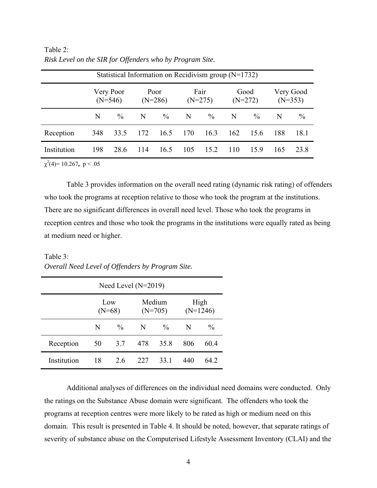| Statistical Information on Recidivism group $(N=1732)$ |                        |      |                   |      |                   |      |                   |      |                        |               |
|--------------------------------------------------------|------------------------|------|-------------------|------|-------------------|------|-------------------|------|------------------------|---------------|
|                                                        | Very Poor<br>$(N=546)$ |      | Poor<br>$(N=286)$ |      | Fair<br>$(N=275)$ |      | Good<br>$(N=272)$ |      | Very Good<br>$(N=353)$ |               |
|                                                        | N                      | $\%$ | $\mathbb{N}$      | $\%$ | $\mathbf N$       | $\%$ | $\mathbf N$       | $\%$ | -N                     | $\frac{0}{0}$ |
| Reception                                              | 348                    | 33.5 | 172               | 16.5 | 170               | 16.3 | 162               | 15.6 | 188                    | 18.1          |
| Institution                                            | 198                    | 28.6 | 114               | 16.5 | 105               | 15.2 | 110               | 159  | 165                    | 23.8          |

<span id="page-15-1"></span><span id="page-15-0"></span>Table 2: *Risk Level on the SIR for Offenders who by Program Site.*

 $\chi^2(4) = 10.267$ , p < .05

[Table 3](#page-15-2) provides information on the overall need rating (dynamic risk rating) of offenders who took the programs at reception relative to those who took the program at the institutions. There are no significant differences in overall need level. Those who took the programs in reception centres and those who took the programs in the institutions were equally rated as being at medium need or higher.

<span id="page-15-2"></span>Table 3: *Overall Need Level of Offenders by Program Site.*

| Need Level $(N=2019)$ |    |                 |     |                     |                    |               |  |
|-----------------------|----|-----------------|-----|---------------------|--------------------|---------------|--|
|                       |    | Low<br>$(N=68)$ |     | Medium<br>$(N=705)$ | High<br>$(N=1246)$ |               |  |
|                       | N  | $\%$            | N   | $\frac{0}{0}$       | N                  | $\frac{0}{0}$ |  |
| Reception             | 50 | 3.7             | 478 | 35.8                | 806                | 60.4          |  |
| Institution           | 18 | 26              | 227 | 33 1                | 440                | 64 2          |  |

Additional analyses of differences on the individual need domains were conducted. Only the ratings on the Substance Abuse domain were significant. The offenders who took the programs at reception centres were more likely to be rated as high or medium need on this domain. This result is presented in [Table 4.](#page-16-1) It should be noted, however, that separate ratings of severity of substance abuse on the Computerised Lifestyle Assessment Inventory (CLAI) and the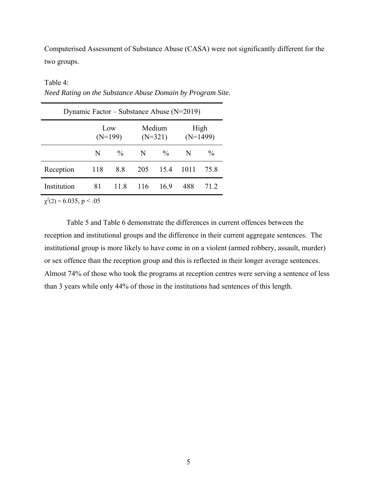<span id="page-16-0"></span>Computerised Assessment of Substance Abuse (CASA) were not significantly different for the two groups.

<span id="page-16-1"></span>Table 4:

| Dynamic Factor – Substance Abuse ( $N=2019$ ) |                  |      |                     |      |                    |               |  |
|-----------------------------------------------|------------------|------|---------------------|------|--------------------|---------------|--|
|                                               | Low<br>$(N=199)$ |      | Medium<br>$(N=321)$ |      | High<br>$(N=1499)$ |               |  |
|                                               | N                | $\%$ | N                   | $\%$ | N                  | $\frac{0}{0}$ |  |
| Reception                                     | 118              | 8.8  | 205                 | 15.4 | 1011               | 75.8          |  |
| Institution                                   | 81               | 11.8 | 116                 | 169  | 488                | 712           |  |

*Need Rating on the Substance Abuse Domain by Program Site.* 

 $\chi^2(2) = 6.035, p < .05$ 

[Table 5](#page-17-1) and [Table 6](#page-17-2) demonstrate the differences in current offences between the reception and institutional groups and the difference in their current aggregate sentences. The institutional group is more likely to have come in on a violent (armed robbery, assault, murder) or sex offence than the reception group and this is reflected in their longer average sentences. Almost 74% of those who took the programs at reception centres were serving a sentence of less than 3 years while only 44% of those in the institutions had sentences of this length.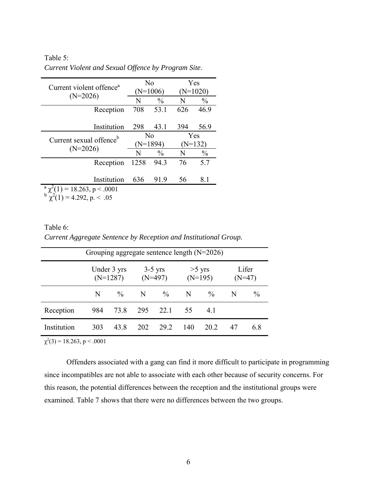| Current violent offence <sup>a</sup> | No             |               | Yes       |               |  |
|--------------------------------------|----------------|---------------|-----------|---------------|--|
|                                      |                | (N=1006)      |           | $(N=1020)$    |  |
| $(N=2026)$                           | N              | $\frac{0}{0}$ | N         | $\frac{0}{0}$ |  |
| Reception                            | 708            | 53.1          | 626       | 46.9          |  |
|                                      |                |               |           |               |  |
| Institution                          | 298            | 43.1          | 394       | 56.9          |  |
| Current sexual offence <sup>b</sup>  | N <sub>0</sub> |               | Yes       |               |  |
|                                      | $(N=1894)$     |               | $(N=132)$ |               |  |
| $(N=2026)$                           | N              | $\frac{0}{0}$ | N         | $\frac{0}{0}$ |  |
| Reception                            | 1258           | 94.3          | 76        | 5.7           |  |
|                                      |                |               |           |               |  |
| Institution                          | 636            | 91.9          | 56        | 8.1           |  |
| $a \gamma^2(1) = 18.263$ , p < .0001 |                |               |           |               |  |
| $(1) = 4.292$ , p. < .05             |                |               |           |               |  |

<span id="page-17-1"></span><span id="page-17-0"></span>Table 5: *Current Violent and Sexual Offence by Program Site*.

<span id="page-17-2"></span>

| Table 6:                                                         |
|------------------------------------------------------------------|
| Current Aggregate Sentence by Reception and Institutional Group. |

| Grouping aggregate sentence length $(N=2026)$ |                           |        |                        |      |                       |      |                   |               |
|-----------------------------------------------|---------------------------|--------|------------------------|------|-----------------------|------|-------------------|---------------|
|                                               | Under 3 yrs<br>$(N=1287)$ |        | $3-5$ yrs<br>$(N=497)$ |      | $>5$ yrs<br>$(N=195)$ |      | Lifer<br>$(N=47)$ |               |
|                                               | N                         | $\%$ N |                        | $\%$ | - N                   | $\%$ | <sup>N</sup>      | $\frac{0}{0}$ |
| Reception                                     | 984                       | 73.8   | 295                    | 22.1 | 55                    | 41   |                   |               |
| Institution                                   | 303                       | 43.8   | 202                    | 29.2 | 140                   | 20 2 | 47                | 6.8           |

 $\chi^2(3) = 18.263$ , p < .0001

Offenders associated with a gang can find it more difficult to participate in programming since incompatibles are not able to associate with each other because of security concerns. For this reason, the potential differences between the reception and the institutional groups were examined. [Table 7](#page-18-1) shows that there were no differences between the two groups.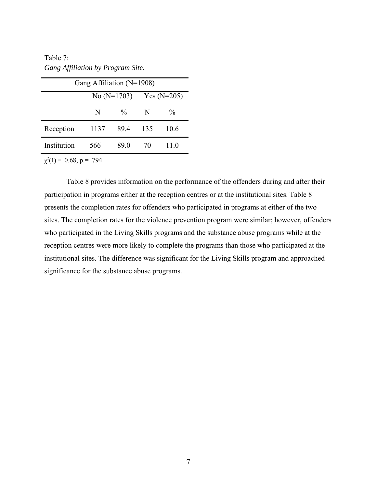<span id="page-18-1"></span><span id="page-18-0"></span>Table 7: *Gang Affiliation by Program Site.* 

| Gang Affiliation ( $N=1908$ )  |      |               |               |      |  |  |  |
|--------------------------------|------|---------------|---------------|------|--|--|--|
|                                |      | No $(N=1703)$ | Yes $(N=205)$ |      |  |  |  |
|                                | N    | $\%$          | -N            | $\%$ |  |  |  |
| Reception                      | 1137 | 89.4          | 135           | 10.6 |  |  |  |
| Institution                    | 566  | 89.0          | 70            | 11.0 |  |  |  |
| $\chi^2(1) = 0.68$ , p. = .794 |      |               |               |      |  |  |  |

[Table 8](#page-19-1) provides information on the performance of the offenders during and after their participation in programs either at the reception centres or at the institutional sites. [Table 8](#page-19-1) presents the completion rates for offenders who participated in programs at either of the two sites. The completion rates for the violence prevention program were similar; however, offenders who participated in the Living Skills programs and the substance abuse programs while at the reception centres were more likely to complete the programs than those who participated at the institutional sites. The difference was significant for the Living Skills program and approached significance for the substance abuse programs.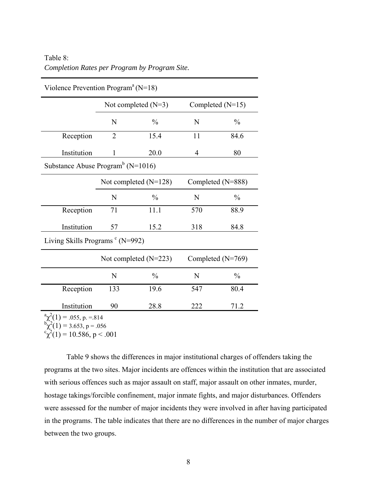<span id="page-19-1"></span><span id="page-19-0"></span>

| Table 8:                                      |  |
|-----------------------------------------------|--|
| Completion Rates per Program by Program Site. |  |

| v loience Prevention Program $(N-1\delta)$    |                |                         |                   |                    |  |  |  |  |
|-----------------------------------------------|----------------|-------------------------|-------------------|--------------------|--|--|--|--|
|                                               |                | Not completed $(N=3)$   |                   | Completed $(N=15)$ |  |  |  |  |
|                                               | N              | $\frac{0}{0}$           | N                 | $\frac{0}{0}$      |  |  |  |  |
| Reception                                     | $\overline{2}$ | 15.4                    | 11                | 84.6               |  |  |  |  |
| Institution                                   | 1              | 20.0                    | 4                 | 80                 |  |  |  |  |
| Substance Abuse Program <sup>b</sup> (N=1016) |                |                         |                   |                    |  |  |  |  |
|                                               |                | Not completed $(N=128)$ | Completed (N=888) |                    |  |  |  |  |
|                                               | N              | $\frac{0}{0}$           | N                 | $\frac{0}{0}$      |  |  |  |  |
| Reception                                     | 71             | 11.1                    | 570               | 88.9               |  |  |  |  |
| Institution                                   | 57             | 15.2                    | 318               | 84.8               |  |  |  |  |
| Living Skills Programs $\textdegree$ (N=992)  |                |                         |                   |                    |  |  |  |  |
|                                               |                | Not completed (N=223)   | Completed (N=769) |                    |  |  |  |  |
|                                               | N              | $\frac{0}{0}$           | N                 | $\frac{0}{0}$      |  |  |  |  |
| Reception                                     | 133            | 19.6                    | 547               | 80.4               |  |  |  |  |
| Institution                                   | 90             | 28.8                    | 222               | 71.2               |  |  |  |  |
| $\alpha \chi^2(1) = .055$ , p. = 814          |                |                         |                   |                    |  |  |  |  |

 $V$ iolence Prevention Program<sup>a</sup> (N-18)

 $b^2 \chi^2(1) = 3.653, p = .056$ <br>  $c^2 \chi^2(1) = 10.586, p < .001$ 

[Table 9](#page-20-1) shows the differences in major institutional charges of offenders taking the programs at the two sites. Major incidents are offences within the institution that are associated with serious offences such as major assault on staff, major assault on other inmates, murder, hostage takings/forcible confinement, major inmate fights, and major disturbances. Offenders were assessed for the number of major incidents they were involved in after having participated in the programs. The table indicates that there are no differences in the number of major charges between the two groups.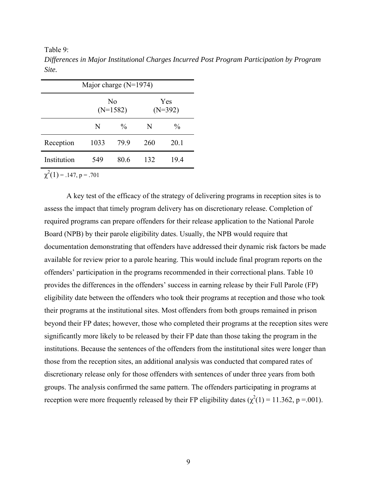<span id="page-20-1"></span><span id="page-20-0"></span>Table 9:

|             | Major charge $(N=1974)$ |                              |     |                  |
|-------------|-------------------------|------------------------------|-----|------------------|
|             |                         | N <sub>0</sub><br>$(N=1582)$ |     | Yes<br>$(N=392)$ |
|             | N                       | $\frac{0}{0}$                | N   | $\frac{0}{0}$    |
| Reception   | 1033                    | 799                          | 260 | 20.1             |
| Institution | 549                     | 80.6                         | 132 | 19.4             |

*Differences in Major Institutional Charges Incurred Post Program Participation by Program Site.*

 $\chi^2(1) = .147, p = .701$ 

A key test of the efficacy of the strategy of delivering programs in reception sites is to assess the impact that timely program delivery has on discretionary release. Completion of required programs can prepare offenders for their release application to the National Parole Board (NPB) by their parole eligibility dates. Usually, the NPB would require that documentation demonstrating that offenders have addressed their dynamic risk factors be made available for review prior to a parole hearing. This would include final program reports on the offenders' participation in the programs recommended in their correctional plans. [Table 10](#page-21-1) provides the differences in the offenders' success in earning release by their Full Parole (FP) eligibility date between the offenders who took their programs at reception and those who took their programs at the institutional sites. Most offenders from both groups remained in prison beyond their FP dates; however, those who completed their programs at the reception sites were significantly more likely to be released by their FP date than those taking the program in the institutions. Because the sentences of the offenders from the institutional sites were longer than those from the reception sites, an additional analysis was conducted that compared rates of discretionary release only for those offenders with sentences of under three years from both groups. The analysis confirmed the same pattern. The offenders participating in programs at reception were more frequently released by their FP eligibility dates  $(\chi^2(1) = 11.362, p = .001)$ .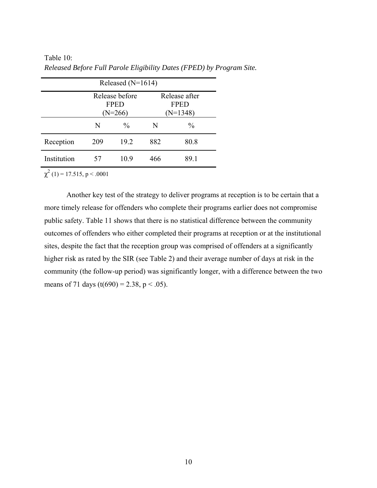|             |     | Released $(N=1614)$                        |     |                                            |
|-------------|-----|--------------------------------------------|-----|--------------------------------------------|
|             |     | Release before<br><b>FPED</b><br>$(N=266)$ |     | Release after<br><b>FPED</b><br>$(N=1348)$ |
|             | N   | $\frac{0}{0}$                              | N   | $\frac{0}{0}$                              |
| Reception   | 209 | 19.2                                       | 882 | 80.8                                       |
| Institution | 57  | 10.9                                       | 466 | 89 1                                       |

<span id="page-21-1"></span><span id="page-21-0"></span>Table 10: *Released Before Full Parole Eligibility Dates (FPED) by Program Site.*

 $\chi^2$  (1) = 17.515, p < .0001

Another key test of the strategy to deliver programs at reception is to be certain that a more timely release for offenders who complete their programs earlier does not compromise public safety. [Table 11](#page-22-1) shows that there is no statistical difference between the community outcomes of offenders who either completed their programs at reception or at the institutional sites, despite the fact that the reception group was comprised of offenders at a significantly higher risk as rated by the SIR (see [Table 2\)](#page-15-1) and their average number of days at risk in the community (the follow-up period) was significantly longer, with a difference between the two means of 71 days (t(690) = 2.38, p < .05).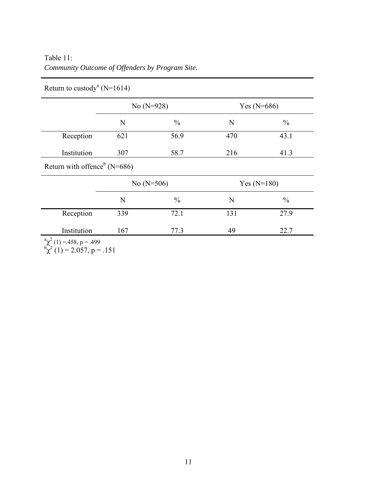<span id="page-22-1"></span><span id="page-22-0"></span>

| Table 11:                                       |  |  |
|-------------------------------------------------|--|--|
| Community Outcome of Offenders by Program Site. |  |  |

|                                          | No $(N=928)$ |               | Yes $(N=686)$ |               |
|------------------------------------------|--------------|---------------|---------------|---------------|
|                                          | N            | $\frac{0}{0}$ | N             | $\frac{0}{0}$ |
| Reception                                | 621          | 56.9          | 470           | 43.1          |
| Institution                              | 307          | 58.7          | 216           | 41.3          |
| Return with offence <sup>b</sup> (N=686) |              |               |               |               |
|                                          | No $(N=506)$ |               | Yes $(N=180)$ |               |
|                                          | N            | $\frac{0}{0}$ | N             | $\frac{0}{0}$ |
| Reception                                | 339          | 72.1          | 131           | 27.9          |
| Institution                              | 167          | 77.3          | 49            | 22.7          |

Return to custody<sup>a</sup> (N=1614)

 $b_{\chi}^{32}$  (1) = 2.057, p = .151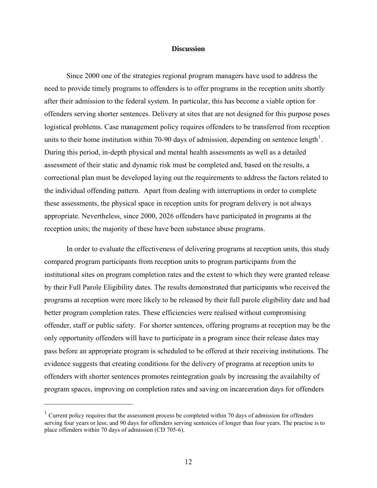#### **Discussion**

<span id="page-23-0"></span>Since 2000 one of the strategies regional program managers have used to address the need to provide timely programs to offenders is to offer programs in the reception units shortly after their admission to the federal system. In particular, this has become a viable option for offenders serving shorter sentences. Delivery at sites that are not designed for this purpose poses logistical problems. Case management policy requires offenders to be transferred from reception units to their home institution within 70-90 days of admission, depending on sentence length<sup>[1](#page-23-1)</sup>. During this period, in-depth physical and mental health assessments as well as a detailed assessment of their static and dynamic risk must be completed and, based on the results, a correctional plan must be developed laying out the requirements to address the factors related to the individual offending pattern. Apart from dealing with interruptions in order to complete these assessments, the physical space in reception units for program delivery is not always appropriate. Nevertheless, since 2000, 2026 offenders have participated in programs at the reception units; the majority of these have been substance abuse programs.

In order to evaluate the effectiveness of delivering programs at reception units, this study compared program participants from reception units to program participants from the institutional sites on program completion rates and the extent to which they were granted release by their Full Parole Eligibility dates. The results demonstrated that participants who received the programs at reception were more likely to be released by their full parole eligibility date and had better program completion rates. These efficiencies were realised without compromising offender, staff or public safety. For shorter sentences, offering programs at reception may be the only opportunity offenders will have to participate in a program since their release dates may pass before an appropriate program is scheduled to be offered at their receiving institutions. The evidence suggests that creating conditions for the delivery of programs at reception units to offenders with shorter sentences promotes reintegration goals by increasing the availabilty of program spaces, improving on completion rates and saving on incarceration days for offenders

1

<span id="page-23-1"></span> $1$  Current policy requires that the assessment process be completed within 70 days of admission for offenders serving four years or less; and 90 days for offenders serving sentences of longer than four years. The practise is to place offenders within 70 days of admission (CD 705-6).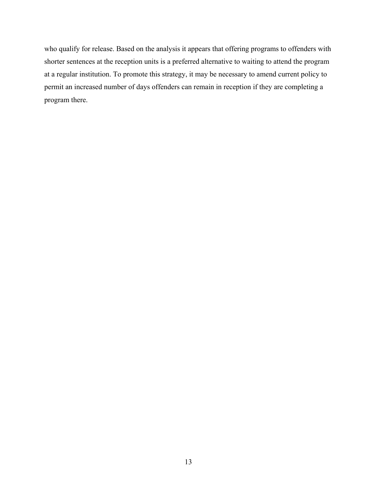who qualify for release. Based on the analysis it appears that offering programs to offenders with shorter sentences at the reception units is a preferred alternative to waiting to attend the program at a regular institution. To promote this strategy, it may be necessary to amend current policy to permit an increased number of days offenders can remain in reception if they are completing a program there.